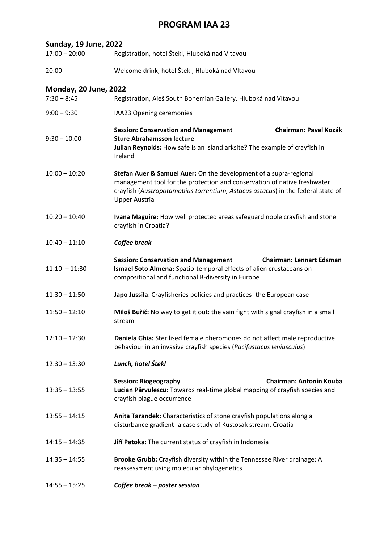#### **PROGRAM IAA 23**

| $17:00 - 20:00$              | Registration, hotel Štekl, Hluboká nad Vltavou                                                                                                                                                                                                           |  |
|------------------------------|----------------------------------------------------------------------------------------------------------------------------------------------------------------------------------------------------------------------------------------------------------|--|
| 20:00                        | Welcome drink, hotel Štekl, Hluboká nad Vltavou                                                                                                                                                                                                          |  |
| <b>Monday, 20 June, 2022</b> |                                                                                                                                                                                                                                                          |  |
| $7:30 - 8:45$                | Registration, Aleš South Bohemian Gallery, Hluboká nad Vltavou                                                                                                                                                                                           |  |
| $9:00 - 9:30$                | IAA23 Opening ceremonies                                                                                                                                                                                                                                 |  |
| $9:30 - 10:00$               | <b>Chairman: Pavel Kozák</b><br><b>Session: Conservation and Management</b><br><b>Sture Abrahamsson lecture</b><br>Julian Reynolds: How safe is an island arksite? The example of crayfish in<br>Ireland                                                 |  |
| $10:00 - 10:20$              | Stefan Auer & Samuel Auer: On the development of a supra-regional<br>management tool for the protection and conservation of native freshwater<br>crayfish (Austropotamobius torrentium, Astacus astacus) in the federal state of<br><b>Upper Austria</b> |  |
| $10:20 - 10:40$              | Ivana Maguire: How well protected areas safeguard noble crayfish and stone<br>crayfish in Croatia?                                                                                                                                                       |  |
| $10:40 - 11:10$              | Coffee break                                                                                                                                                                                                                                             |  |
| $11:10 - 11:30$              | <b>Session: Conservation and Management</b><br><b>Chairman: Lennart Edsman</b><br>Ismael Soto Almena: Spatio-temporal effects of alien crustaceans on<br>compositional and functional B-diversity in Europe                                              |  |
| $11:30 - 11:50$              | Japo Jussila: Crayfisheries policies and practices- the European case                                                                                                                                                                                    |  |
| $11:50 - 12:10$              | Miloš Buřič: No way to get it out: the vain fight with signal crayfish in a small<br>stream                                                                                                                                                              |  |
| $12:10 - 12:30$              | Daniela Ghia: Sterilised female pheromones do not affect male reproductive<br>behaviour in an invasive crayfish species (Pacifastacus leniusculus)                                                                                                       |  |
| $12:30 - 13:30$              | Lunch, hotel Štekl                                                                                                                                                                                                                                       |  |
| $13:35 - 13:55$              | <b>Chairman: Antonín Kouba</b><br><b>Session: Biogeography</b><br>Lucian Pârvulescu: Towards real-time global mapping of crayfish species and<br>crayfish plague occurrence                                                                              |  |
| $13:55 - 14:15$              | Anita Tarandek: Characteristics of stone crayfish populations along a<br>disturbance gradient- a case study of Kustosak stream, Croatia                                                                                                                  |  |
| $14:15 - 14:35$              | Jiří Patoka: The current status of crayfish in Indonesia                                                                                                                                                                                                 |  |
| $14:35 - 14:55$              | Brooke Grubb: Crayfish diversity within the Tennessee River drainage: A<br>reassessment using molecular phylogenetics                                                                                                                                    |  |
| $14:55 - 15:25$              | Coffee break - poster session                                                                                                                                                                                                                            |  |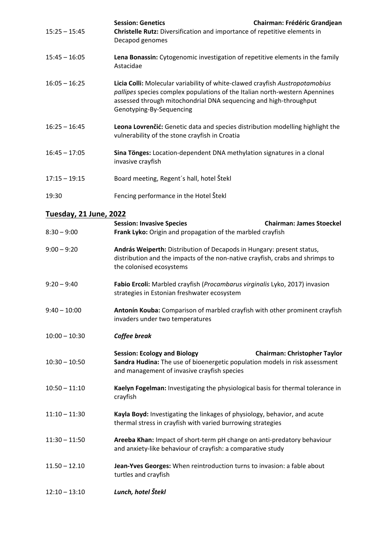| $15:25 - 15:45$               | <b>Session: Genetics</b><br><b>Chairman: Frédéric Grandjean</b><br>Christelle Rutz: Diversification and importance of repetitive elements in<br>Decapod genomes                                                                                              |
|-------------------------------|--------------------------------------------------------------------------------------------------------------------------------------------------------------------------------------------------------------------------------------------------------------|
| $15:45 - 16:05$               | Lena Bonassin: Cytogenomic investigation of repetitive elements in the family<br>Astacidae                                                                                                                                                                   |
| $16:05 - 16:25$               | Licia Colli: Molecular variability of white-clawed crayfish Austropotamobius<br>pallipes species complex populations of the Italian north-western Apennines<br>assessed through mitochondrial DNA sequencing and high-throughput<br>Genotyping-By-Sequencing |
| $16:25 - 16:45$               | Leona Lovrenčić: Genetic data and species distribution modelling highlight the<br>vulnerability of the stone crayfish in Croatia                                                                                                                             |
| $16:45 - 17:05$               | Sina Tönges: Location-dependent DNA methylation signatures in a clonal<br>invasive crayfish                                                                                                                                                                  |
| $17:15 - 19:15$               | Board meeting, Regent's hall, hotel Štekl                                                                                                                                                                                                                    |
| 19:30                         | Fencing performance in the Hotel Štekl                                                                                                                                                                                                                       |
| <b>Tuesday, 21 June, 2022</b> |                                                                                                                                                                                                                                                              |
| $8:30 - 9:00$                 | <b>Session: Invasive Species</b><br><b>Chairman: James Stoeckel</b><br>Frank Lyko: Origin and propagation of the marbled crayfish                                                                                                                            |
| $9:00 - 9:20$                 | András Weiperth: Distribution of Decapods in Hungary: present status,<br>distribution and the impacts of the non-native crayfish, crabs and shrimps to<br>the colonised ecosystems                                                                           |
| $9:20 - 9:40$                 | Fabio Ercoli: Marbled crayfish (Procambarus virginalis Lyko, 2017) invasion<br>strategies in Estonian freshwater ecosystem                                                                                                                                   |
| $9:40 - 10:00$                | Antonín Kouba: Comparison of marbled crayfish with other prominent crayfish<br>invaders under two temperatures                                                                                                                                               |
| $10:00 - 10:30$               | Coffee break                                                                                                                                                                                                                                                 |
| $10:30 - 10:50$               | <b>Session: Ecology and Biology</b><br><b>Chairman: Christopher Taylor</b><br>Sandra Hudina: The use of bioenergetic population models in risk assessment<br>and management of invasive crayfish species                                                     |
| $10:50 - 11:10$               | Kaelyn Fogelman: Investigating the physiological basis for thermal tolerance in<br>crayfish                                                                                                                                                                  |
| $11:10 - 11:30$               | Kayla Boyd: Investigating the linkages of physiology, behavior, and acute<br>thermal stress in crayfish with varied burrowing strategies                                                                                                                     |
| $11:30 - 11:50$               | Areeba Khan: Impact of short-term pH change on anti-predatory behaviour<br>and anxiety-like behaviour of crayfish: a comparative study                                                                                                                       |
| $11.50 - 12.10$               | Jean-Yves Georges: When reintroduction turns to invasion: a fable about<br>turtles and crayfish                                                                                                                                                              |
| $12:10 - 13:10$               | Lunch, hotel Štekl                                                                                                                                                                                                                                           |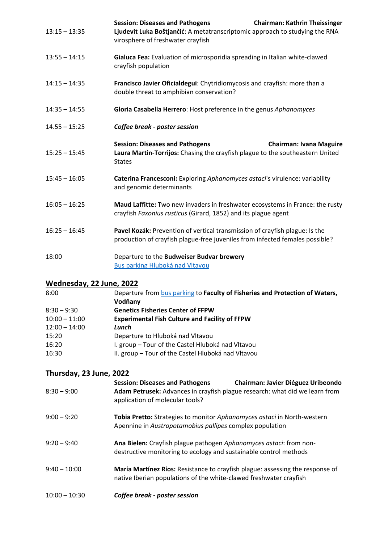| $13:15 - 13:35$ | <b>Session: Diseases and Pathogens</b><br><b>Chairman: Kathrin Theissinger</b><br>Ljudevit Luka Boštjančić: A metatranscriptomic approach to studying the RNA<br>virosphere of freshwater crayfish |
|-----------------|----------------------------------------------------------------------------------------------------------------------------------------------------------------------------------------------------|
| $13:55 - 14:15$ | Gialuca Fea: Evaluation of microsporidia spreading in Italian white-clawed<br>crayfish population                                                                                                  |
| $14:15 - 14:35$ | Francisco Javier Oficialdegui: Chytridiomycosis and crayfish: more than a<br>double threat to amphibian conservation?                                                                              |
| $14:35 - 14:55$ | Gloria Casabella Herrero: Host preference in the genus Aphanomyces                                                                                                                                 |
| $14.55 - 15:25$ | Coffee break - poster session                                                                                                                                                                      |
| $15:25 - 15:45$ | <b>Session: Diseases and Pathogens</b><br><b>Chairman: Ivana Maguire</b><br>Laura Martin-Torrijos: Chasing the crayfish plague to the southeastern United<br><b>States</b>                         |
| $15:45 - 16:05$ | Caterina Francesconi: Exploring Aphanomyces astaci's virulence: variability<br>and genomic determinants                                                                                            |
| $16:05 - 16:25$ | Maud Laffitte: Two new invaders in freshwater ecosystems in France: the rusty<br>crayfish Faxonius rusticus (Girard, 1852) and its plague agent                                                    |
| $16:25 - 16:45$ | Pavel Kozák: Prevention of vertical transmission of crayfish plague: Is the<br>production of crayfish plague-free juveniles from infected females possible?                                        |
| 18:00           | Departure to the Budweiser Budvar brewery<br><b>Bus parking Hluboká nad Vltavou</b>                                                                                                                |

# **Wednesday, 22 June, 2022**

| 8:00            | Departure from bus parking to Faculty of Fisheries and Protection of Waters, |
|-----------------|------------------------------------------------------------------------------|
|                 | Vodňany                                                                      |
| $8:30 - 9:30$   | <b>Genetics Fisheries Center of FFPW</b>                                     |
| $10:00 - 11:00$ | <b>Experimental Fish Culture and Facility of FFPW</b>                        |
| $12:00 - 14:00$ | Lunch                                                                        |
| 15:20           | Departure to Hluboká nad Vltavou                                             |
| 16:20           | I. group - Tour of the Castel Hluboká nad Vltavou                            |
| 16:30           | II. group - Tour of the Castel Hluboká nad Vltavou                           |

### **Thursday, 23 June, 2022**

| $8:30 - 9:00$   | <b>Session: Diseases and Pathogens</b><br><b>Chairman: Javier Diéguez Uribeondo</b><br>Adam Petrusek: Advances in crayfish plague research: what did we learn from<br>application of molecular tools? |
|-----------------|-------------------------------------------------------------------------------------------------------------------------------------------------------------------------------------------------------|
| $9:00 - 9:20$   | Tobia Pretto: Strategies to monitor Aphanomyces astaci in North-western<br>Apennine in Austropotamobius pallipes complex population                                                                   |
| $9:20 - 9:40$   | Ana Bielen: Crayfish plague pathogen Aphanomyces astaci: from non-<br>destructive monitoring to ecology and sustainable control methods                                                               |
| $9:40 - 10:00$  | María Martínez Ríos: Resistance to crayfish plague: assessing the response of<br>native Iberian populations of the white-clawed freshwater crayfish                                                   |
| $10:00 - 10:30$ | Coffee break - poster session                                                                                                                                                                         |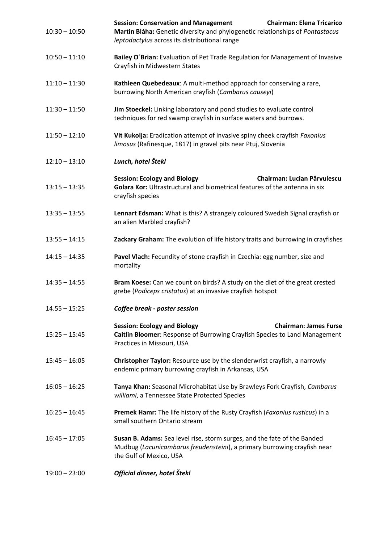| $10:30 - 10:50$ | <b>Chairman: Elena Tricarico</b><br><b>Session: Conservation and Management</b><br>Martin Bláha: Genetic diversity and phylogenetic relationships of Pontastacus<br>leptodactylus across its distributional range |
|-----------------|-------------------------------------------------------------------------------------------------------------------------------------------------------------------------------------------------------------------|
| $10:50 - 11:10$ | Bailey O'Brian: Evaluation of Pet Trade Regulation for Management of Invasive<br>Crayfish in Midwestern States                                                                                                    |
| $11:10 - 11:30$ | Kathleen Quebedeaux: A multi-method approach for conserving a rare,<br>burrowing North American crayfish (Cambarus causeyi)                                                                                       |
| $11:30 - 11:50$ | Jim Stoeckel: Linking laboratory and pond studies to evaluate control<br>techniques for red swamp crayfish in surface waters and burrows.                                                                         |
| $11:50 - 12:10$ | Vit Kukolja: Eradication attempt of invasive spiny cheek crayfish Faxonius<br>limosus (Rafinesque, 1817) in gravel pits near Ptuj, Slovenia                                                                       |
| $12:10 - 13:10$ | Lunch, hotel Štekl                                                                                                                                                                                                |
| $13:15 - 13:35$ | <b>Session: Ecology and Biology</b><br><b>Chairman: Lucian Pârvulescu</b><br>Golara Kor: Ultrastructural and biometrical features of the antenna in six<br>crayfish species                                       |
| $13:35 - 13:55$ | Lennart Edsman: What is this? A strangely coloured Swedish Signal crayfish or<br>an alien Marbled crayfish?                                                                                                       |
| $13:55 - 14:15$ | Zackary Graham: The evolution of life history traits and burrowing in crayfishes                                                                                                                                  |
| $14:15 - 14:35$ | Pavel Vlach: Fecundity of stone crayfish in Czechia: egg number, size and<br>mortality                                                                                                                            |
| $14:35 - 14:55$ | Bram Koese: Can we count on birds? A study on the diet of the great crested<br>grebe (Podiceps cristatus) at an invasive crayfish hotspot                                                                         |
| $14.55 - 15:25$ | Coffee break - poster session                                                                                                                                                                                     |
| $15:25 - 15:45$ | <b>Session: Ecology and Biology</b><br><b>Chairman: James Furse</b><br>Caitlin Bloomer: Response of Burrowing Crayfish Species to Land Management<br>Practices in Missouri, USA                                   |
| $15:45 - 16:05$ | Christopher Taylor: Resource use by the slenderwrist crayfish, a narrowly<br>endemic primary burrowing crayfish in Arkansas, USA                                                                                  |
| $16:05 - 16:25$ | Tanya Khan: Seasonal Microhabitat Use by Brawleys Fork Crayfish, Cambarus<br>williami, a Tennessee State Protected Species                                                                                        |
| $16:25 - 16:45$ | Premek Hamr: The life history of the Rusty Crayfish (Faxonius rusticus) in a<br>small southern Ontario stream                                                                                                     |
| $16:45 - 17:05$ | Susan B. Adams: Sea level rise, storm surges, and the fate of the Banded<br>Mudbug (Lacunicambarus freudensteini), a primary burrowing crayfish near<br>the Gulf of Mexico, USA                                   |
| $19:00 - 23:00$ | Official dinner, hotel Štekl                                                                                                                                                                                      |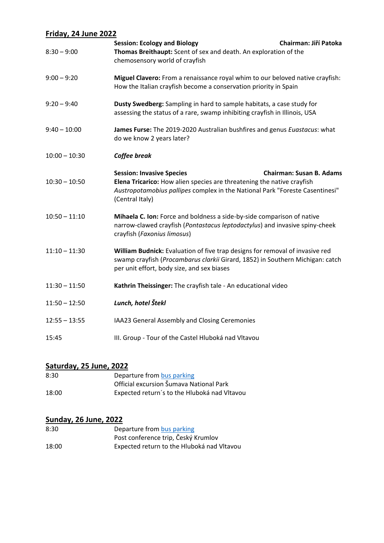### **Friday, 24 June 2022**

| $8:30 - 9:00$   | <b>Session: Ecology and Biology</b><br>Thomas Breithaupt: Scent of sex and death. An exploration of the<br>chemosensory world of crayfish                                                                     | Chairman: Jiří Patoka           |
|-----------------|---------------------------------------------------------------------------------------------------------------------------------------------------------------------------------------------------------------|---------------------------------|
| $9:00 - 9:20$   | Miguel Clavero: From a renaissance royal whim to our beloved native crayfish:<br>How the Italian crayfish become a conservation priority in Spain                                                             |                                 |
| $9:20 - 9:40$   | Dusty Swedberg: Sampling in hard to sample habitats, a case study for<br>assessing the status of a rare, swamp inhibiting crayfish in Illinois, USA                                                           |                                 |
| $9:40 - 10:00$  | James Furse: The 2019-2020 Australian bushfires and genus Euastacus: what<br>do we know 2 years later?                                                                                                        |                                 |
| $10:00 - 10:30$ | Coffee break                                                                                                                                                                                                  |                                 |
| $10:30 - 10:50$ | <b>Session: Invasive Species</b><br>Elena Tricarico: How alien species are threatening the native crayfish<br>Austropotamobius pallipes complex in the National Park "Foreste Casentinesi"<br>(Central Italy) | <b>Chairman: Susan B. Adams</b> |
| $10:50 - 11:10$ | Mihaela C. Ion: Force and boldness a side-by-side comparison of native<br>narrow-clawed crayfish (Pontastacus leptodactylus) and invasive spiny-cheek<br>crayfish (Faxonius limosus)                          |                                 |
| $11:10 - 11:30$ | William Budnick: Evaluation of five trap designs for removal of invasive red<br>swamp crayfish (Procambarus clarkii Girard, 1852) in Southern Michigan: catch<br>per unit effort, body size, and sex biases   |                                 |
| $11:30 - 11:50$ | Kathrin Theissinger: The crayfish tale - An educational video                                                                                                                                                 |                                 |
| $11:50 - 12:50$ | Lunch, hotel Štekl                                                                                                                                                                                            |                                 |
| $12:55 - 13:55$ | IAA23 General Assembly and Closing Ceremonies                                                                                                                                                                 |                                 |
| 15:45           | III. Group - Tour of the Castel Hluboká nad Vltavou                                                                                                                                                           |                                 |

# **Saturday, 25 June, 2022**

| 8:30  | Departure from bus parking                   |
|-------|----------------------------------------------|
|       | Official excursion Šumava National Park      |
| 18:00 | Expected return's to the Hluboká nad Vltavou |

#### **Sunday, 26 June, 2022**

| 8:30  | Departure from bus parking                 |
|-------|--------------------------------------------|
|       | Post conference trip, Český Krumlov        |
| 18:00 | Expected return to the Hluboká nad Vltavou |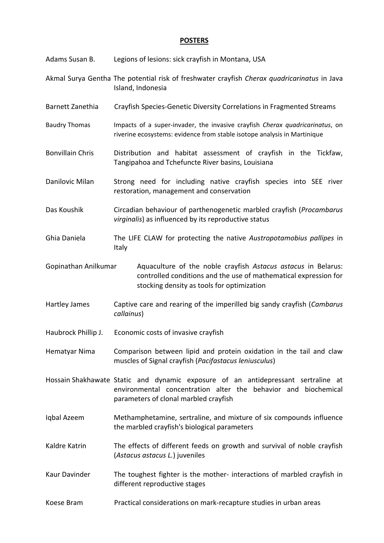#### **POSTERS**

| Adams Susan B.          | Legions of lesions: sick crayfish in Montana, USA                                                                                                                                            |
|-------------------------|----------------------------------------------------------------------------------------------------------------------------------------------------------------------------------------------|
|                         | Akmal Surya Gentha The potential risk of freshwater crayfish Cherax quadricarinatus in Java<br>Island, Indonesia                                                                             |
| Barnett Zanethia        | Crayfish Species-Genetic Diversity Correlations in Fragmented Streams                                                                                                                        |
| <b>Baudry Thomas</b>    | Impacts of a super-invader, the invasive crayfish Cherax quadricarinatus, on<br>riverine ecosystems: evidence from stable isotope analysis in Martinique                                     |
| <b>Bonvillain Chris</b> | Distribution and habitat assessment of crayfish in the Tickfaw,<br>Tangipahoa and Tchefuncte River basins, Louisiana                                                                         |
| Danilovic Milan         | Strong need for including native crayfish species into SEE river<br>restoration, management and conservation                                                                                 |
| Das Koushik             | Circadian behaviour of parthenogenetic marbled crayfish (Procambarus<br>virginalis) as influenced by its reproductive status                                                                 |
| Ghia Daniela            | The LIFE CLAW for protecting the native Austropotamobius pallipes in<br>Italy                                                                                                                |
| Gopinathan Anilkumar    | Aquaculture of the noble crayfish Astacus astacus in Belarus:<br>controlled conditions and the use of mathematical expression for<br>stocking density as tools for optimization              |
| Hartley James           | Captive care and rearing of the imperilled big sandy crayfish (Cambarus<br>callainus)                                                                                                        |
| Haubrock Phillip J.     | Economic costs of invasive crayfish                                                                                                                                                          |
| Hematyar Nima           | Comparison between lipid and protein oxidation in the tail and claw<br>muscles of Signal crayfish (Pacifastacus leniusculus)                                                                 |
|                         | Hossain Shakhawate Static and dynamic exposure of an antidepressant sertraline at<br>environmental concentration alter the behavior and biochemical<br>parameters of clonal marbled crayfish |
| Iqbal Azeem             | Methamphetamine, sertraline, and mixture of six compounds influence<br>the marbled crayfish's biological parameters                                                                          |
| Kaldre Katrin           | The effects of different feeds on growth and survival of noble crayfish<br>(Astacus astacus L.) juveniles                                                                                    |
| Kaur Davinder           | The toughest fighter is the mother- interactions of marbled crayfish in<br>different reproductive stages                                                                                     |
| Koese Bram              | Practical considerations on mark-recapture studies in urban areas                                                                                                                            |